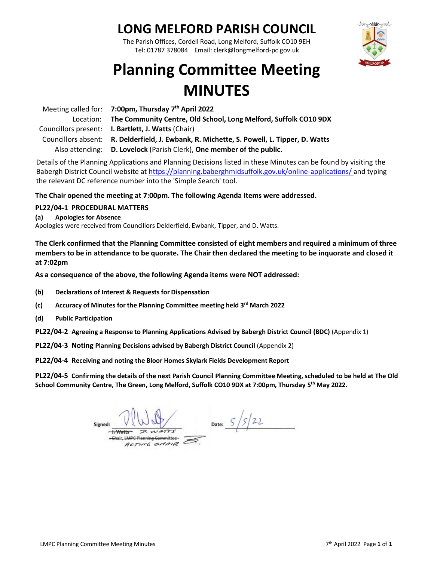### **LONG MELFORD PARISH COUNCIL**

The Parish Offices, Cordell Road, Long Melford, Suffolk CO10 9EH Tel: 01787 378084 Email: clerk@longmelford-pc.gov.uk



# **Planning Committee Meeting MINUTES**

| Meeting called for: $7:00 \text{pm}$ , Thursday $7th$ April 2022                           |
|--------------------------------------------------------------------------------------------|
| Location: The Community Centre, Old School, Long Melford, Suffolk CO10 9DX                 |
| Councillors present: <b>I. Bartlett, J. Watts</b> (Chair)                                  |
| Councillors absent: R. Delderfield, J. Ewbank, R. Michette, S. Powell, L. Tipper, D. Watts |
| Also attending: D. Lovelock (Parish Clerk), One member of the public.                      |

Details of the Planning Applications and Planning Decisions listed in these Minutes can be found by visiting the Babergh District Council website at<https://planning.baberghmidsuffolk.gov.uk/online-applications/> and typing the relevant DC reference number into the 'Simple Search' tool.

**The Chair opened the meeting at 7:00pm. The following Agenda Items were addressed.**

#### **PL22/04-1 PROCEDURAL MATTERS**

**(a) Apologies for Absence**

Apologies were received from Councillors Delderfield, Ewbank, Tipper, and D. Watts.

**The Clerk confirmed that the Planning Committee consisted of eight members and required a minimum of three members to be in attendance to be quorate. The Chair then declared the meeting to be inquorate and closed it at 7:02pm**

**As a consequence of the above, the following Agenda items were NOT addressed:**

- **(b) Declarations of Interest & Requests for Dispensation**
- **(c) Accuracy of Minutes for the Planning Committee meeting held 3rd March 2022**
- **(d) Public Participation**

**PL22/04-2 Agreeing a Response to Planning Applications Advised by Babergh District Council (BDC)** (Appendix 1)

**PL22/04-3 Noting Planning Decisions advised by Babergh District Council** (Appendix 2)

**PL22/04-4 Receiving and noting the Bloor Homes Skylark Fields Development Report**

**PL22/04-5 Confirming the details of the next Parish Council Planning Committee Meeting, scheduled to be held at The Old School Community Centre, The Green, Long Melford, Suffolk CO10 9DX at 7:00pm, Thursday 5 th May 2022.**

Date:  $5/5/22$ Signed:  $H-Watts - P. WATTS$ Chair, LMPC Planning Committee-ACTIVE CHAIR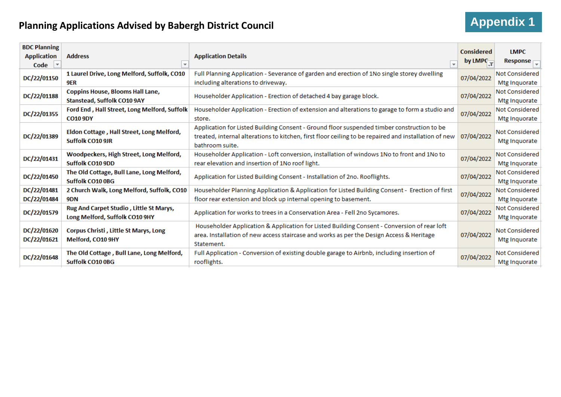## **Planning Applications Advised by Babergh District Council**

| <b>Appendix 1</b> |  |
|-------------------|--|
|-------------------|--|

| <b>BDC Planning</b>    |                                                               |                                                                                                      | <b>Considered</b>    | <b>LMPC</b>                        |
|------------------------|---------------------------------------------------------------|------------------------------------------------------------------------------------------------------|----------------------|------------------------------------|
| <b>Application</b>     | <b>Address</b>                                                | <b>Application Details</b>                                                                           |                      |                                    |
| $\vert \nabla$<br>Code | $\overline{\mathbf{v}}$                                       | $\overline{\phantom{a}}$                                                                             | by LMPC <sub>T</sub> | Response $\overline{\mathbb{R}^n}$ |
| DC/22/01150            | 1 Laurel Drive, Long Melford, Suffolk, CO10                   | Full Planning Application - Severance of garden and erection of 1No single storey dwelling           | 07/04/2022           | <b>Not Considered</b>              |
|                        | 9ER                                                           | including alterations to driveway.                                                                   |                      | Mtg Inquorate                      |
|                        | <b>Coppins House, Blooms Hall Lane,</b>                       |                                                                                                      | 07/04/2022           | Not Considered                     |
| DC/22/01188            | Stanstead, Suffolk CO10 9AY                                   | Householder Application - Erection of detached 4 bay garage block.                                   |                      | Mtg Inquorate                      |
| DC/22/01355            | Ford End, Hall Street, Long Melford, Suffolk                  | Householder Application - Erection of extension and alterations to garage to form a studio and       |                      | Not Considered                     |
|                        | <b>CO10 9DY</b>                                               | store.                                                                                               | 07/04/2022           | Mtg Inquorate                      |
|                        |                                                               | Application for Listed Building Consent - Ground floor suspended timber construction to be           |                      | <b>Not Considered</b>              |
| DC/22/01389            | Eldon Cottage, Hall Street, Long Melford,<br>Suffolk CO10 9JR | treated, internal alterations to kitchen, first floor ceiling to be repaired and installation of new | 07/04/2022           | Mtg Inquorate                      |
|                        |                                                               | bathroom suite.                                                                                      |                      |                                    |
| DC/22/01431            | Woodpeckers, High Street, Long Melford,                       | Householder Application - Loft conversion, installation of windows 1No to front and 1No to           | 07/04/2022           | <b>Not Considered</b>              |
|                        | Suffolk CO10 9DD                                              | rear elevation and insertion of 1No roof light.                                                      |                      | Mtg Inquorate                      |
| DC/22/01450            | The Old Cottage, Bull Lane, Long Melford,                     | Application for Listed Building Consent - Installation of 2no. Rooflights.                           | 07/04/2022           | Not Considered                     |
|                        | Suffolk CO10 0BG                                              |                                                                                                      |                      | Mtg Inquorate                      |
| DC/22/01481            | 2 Church Walk, Long Melford, Suffolk, CO10                    | Householder Planning Application & Application for Listed Building Consent - Erection of first       | 07/04/2022           | Not Considered                     |
| DC/22/01484            | 9DN                                                           | floor rear extension and block up internal opening to basement.                                      |                      | Mtg Inquorate                      |
| DC/22/01579            | Rug And Carpet Studio, Little St Marys,                       |                                                                                                      | 07/04/2022           | Not Considered                     |
|                        | Long Melford, Suffolk CO10 9HY                                | Application for works to trees in a Conservation Area - Fell 2no Sycamores.                          |                      | Mtg Inquorate                      |
| DC/22/01620            | <b>Corpus Christi, Little St Marys, Long</b>                  | Householder Application & Application for Listed Building Consent - Conversion of rear loft          |                      | Not Considered                     |
| DC/22/01621            | Melford, CO10 9HY                                             | area. Installation of new access staircase and works as per the Design Access & Heritage             | 07/04/2022           | Mtg Inquorate                      |
|                        |                                                               | Statement.                                                                                           |                      |                                    |
| DC/22/01648            | The Old Cottage, Bull Lane, Long Melford,                     | Full Application - Conversion of existing double garage to Airbnb, including insertion of            | 07/04/2022           | <b>Not Considered</b>              |
|                        | <b>Suffolk CO10 0BG</b>                                       | rooflights.                                                                                          |                      | Mtg Inquorate                      |